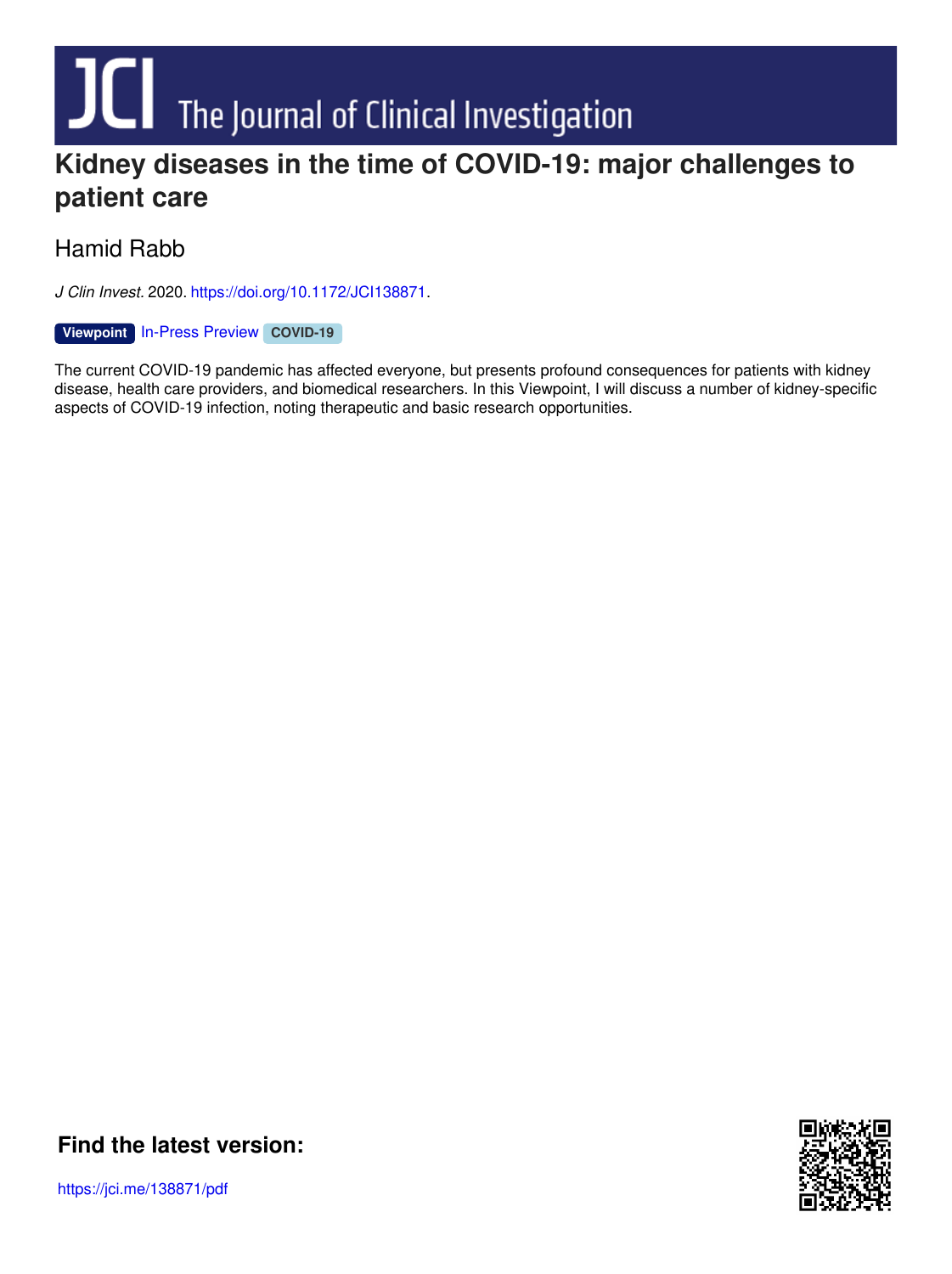# **Kidney diseases in the time of COVID-19: major challenges to**

# **patient care**

# Hamid Rabb

*J Clin Invest.* 2020. <https://doi.org/10.1172/JCI138871>.

#### [In-Press](http://www.jci.org/tags/113?utm_campaign=cover-page&utm_medium=pdf&utm_source=content) Preview **[Viewpoint](http://www.jci.org/tags/111?utm_campaign=cover-page&utm_medium=pdf&utm_source=content) [COVID-19](http://www.jci.org/tags/118?utm_campaign=cover-page&utm_medium=pdf&utm_source=content)**

The current COVID-19 pandemic has affected everyone, but presents profound consequences for patients with kidney disease, health care providers, and biomedical researchers. In this Viewpoint, I will discuss a number of kidney-specific aspects of COVID-19 infection, noting therapeutic and basic research opportunities.



**Find the [latest](https://jci.me/138871/pdf) version:**

https://jci.me/138871/pdf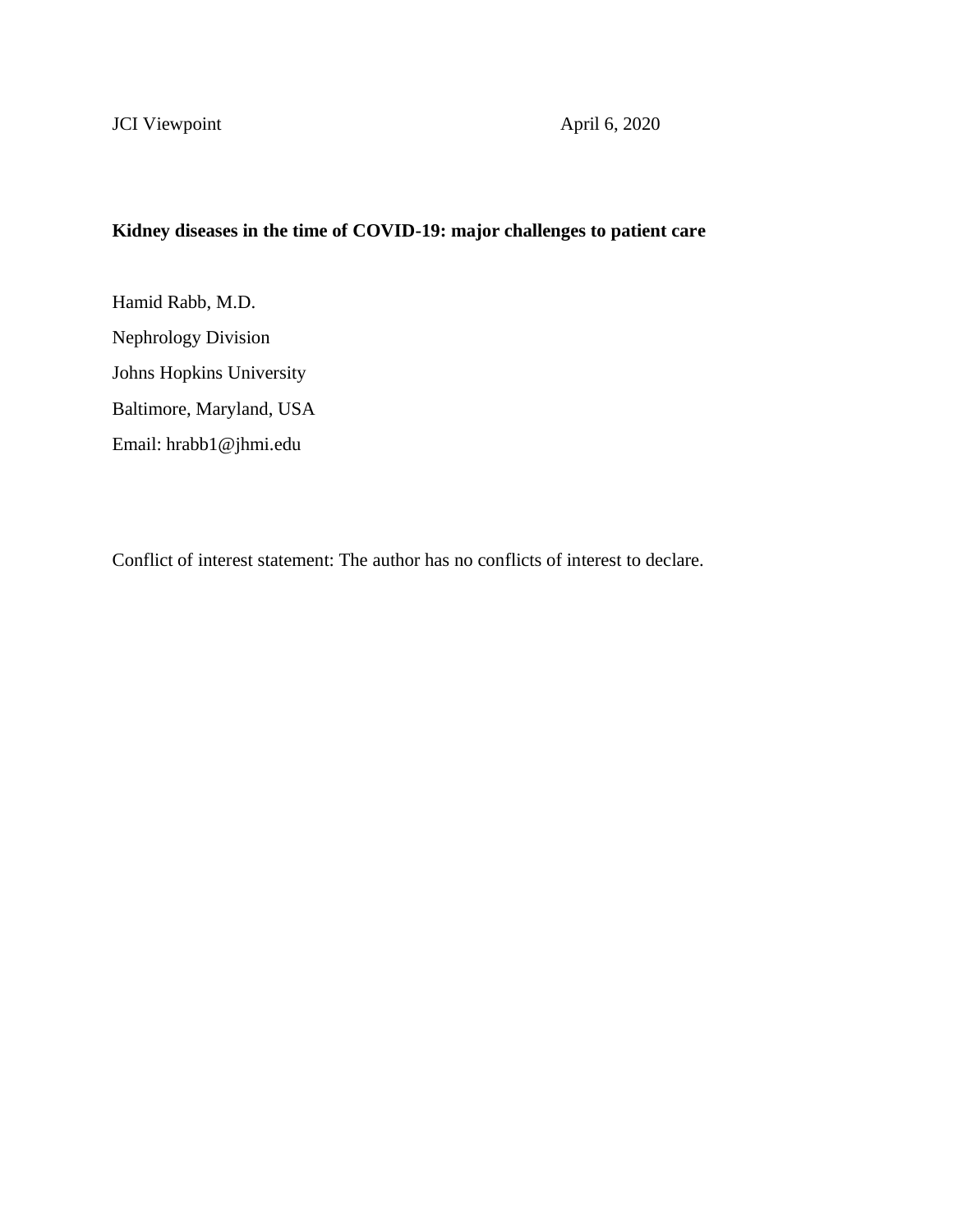### **Kidney diseases in the time of COVID-19: major challenges to patient care**

Hamid Rabb, M.D. Nephrology Division Johns Hopkins University Baltimore, Maryland, USA Email: hrabb1@jhmi.edu

Conflict of interest statement: The author has no conflicts of interest to declare.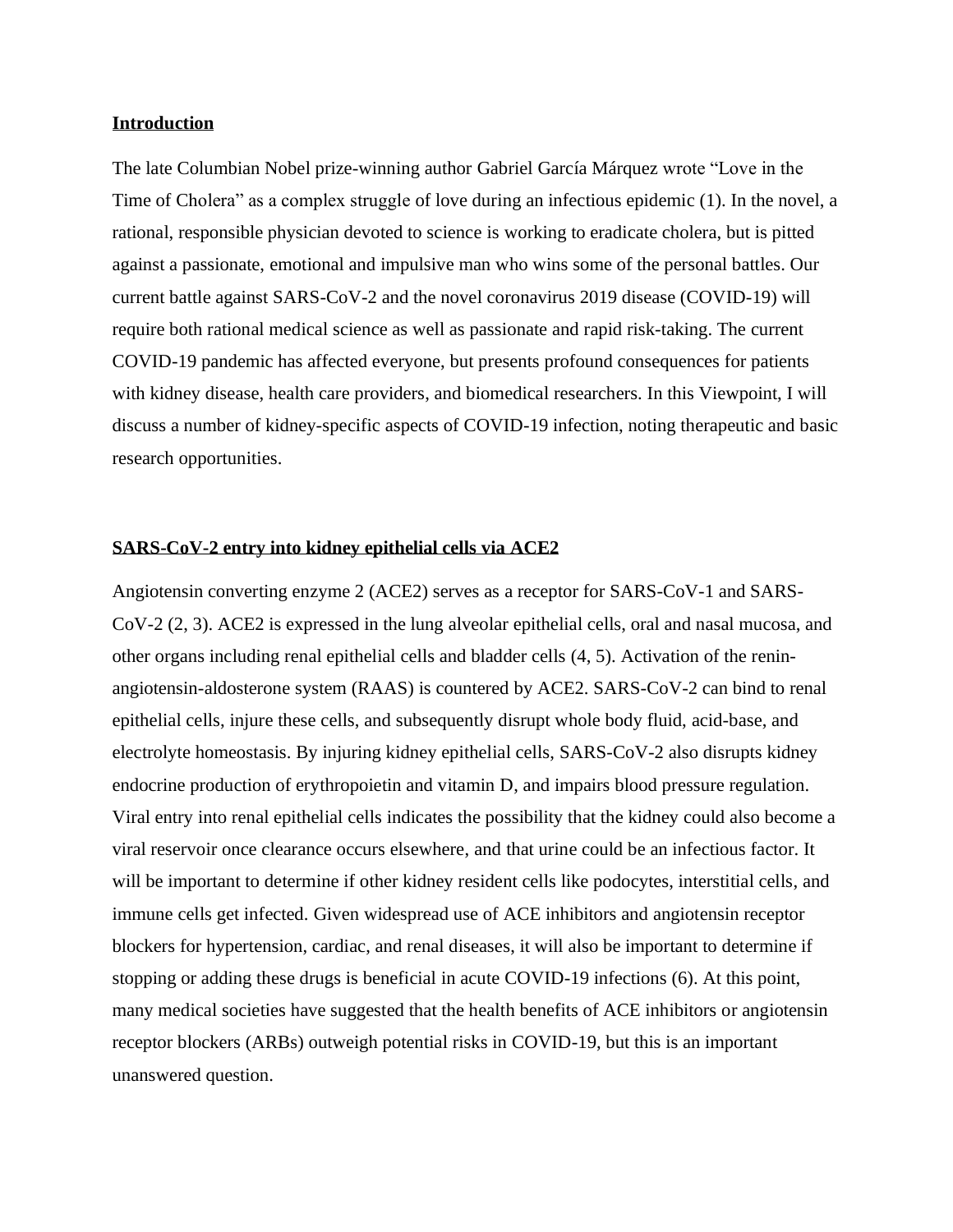#### **Introduction**

The late Columbian Nobel prize-winning author [Gabriel García Márquez](https://en.wikipedia.org/wiki/Gabriel_Garc%C3%ADa_M%C3%A1rquez) wrote "Love in the Time of Cholera" as a complex struggle of love during an infectious epidemic (1). In the novel, a rational, responsible physician devoted to science is working to eradicate cholera, but is pitted against a passionate, emotional and impulsive man who wins some of the personal battles. Our current battle against SARS-CoV-2 and the novel coronavirus 2019 disease (COVID-19) will require both rational medical science as well as passionate and rapid risk-taking. The current COVID-19 pandemic has affected everyone, but presents profound consequences for patients with kidney disease, health care providers, and biomedical researchers. In this Viewpoint, I will discuss a number of kidney-specific aspects of COVID-19 infection, noting therapeutic and basic research opportunities.

#### **SARS-CoV-2 entry into kidney epithelial cells via ACE2**

Angiotensin converting enzyme 2 (ACE2) serves as a receptor for SARS-CoV-1 and SARS-CoV-2 (2, 3). ACE2 is expressed in the lung alveolar epithelial cells, oral and nasal mucosa, and other organs including renal epithelial cells and bladder cells (4, 5). Activation of the reninangiotensin-aldosterone system (RAAS) is countered by ACE2. SARS-CoV-2 can bind to renal epithelial cells, injure these cells, and subsequently disrupt whole body fluid, acid-base, and electrolyte homeostasis. By injuring kidney epithelial cells, SARS-CoV-2 also disrupts kidney endocrine production of erythropoietin and vitamin D, and impairs blood pressure regulation. Viral entry into renal epithelial cells indicates the possibility that the kidney could also become a viral reservoir once clearance occurs elsewhere, and that urine could be an infectious factor. It will be important to determine if other kidney resident cells like podocytes, interstitial cells, and immune cells get infected. Given widespread use of ACE inhibitors and angiotensin receptor blockers for hypertension, cardiac, and renal diseases, it will also be important to determine if stopping or adding these drugs is beneficial in acute COVID-19 infections (6). At this point, many medical societies have suggested that the health benefits of ACE inhibitors or angiotensin receptor blockers (ARBs) outweigh potential risks in COVID-19, but this is an important unanswered question.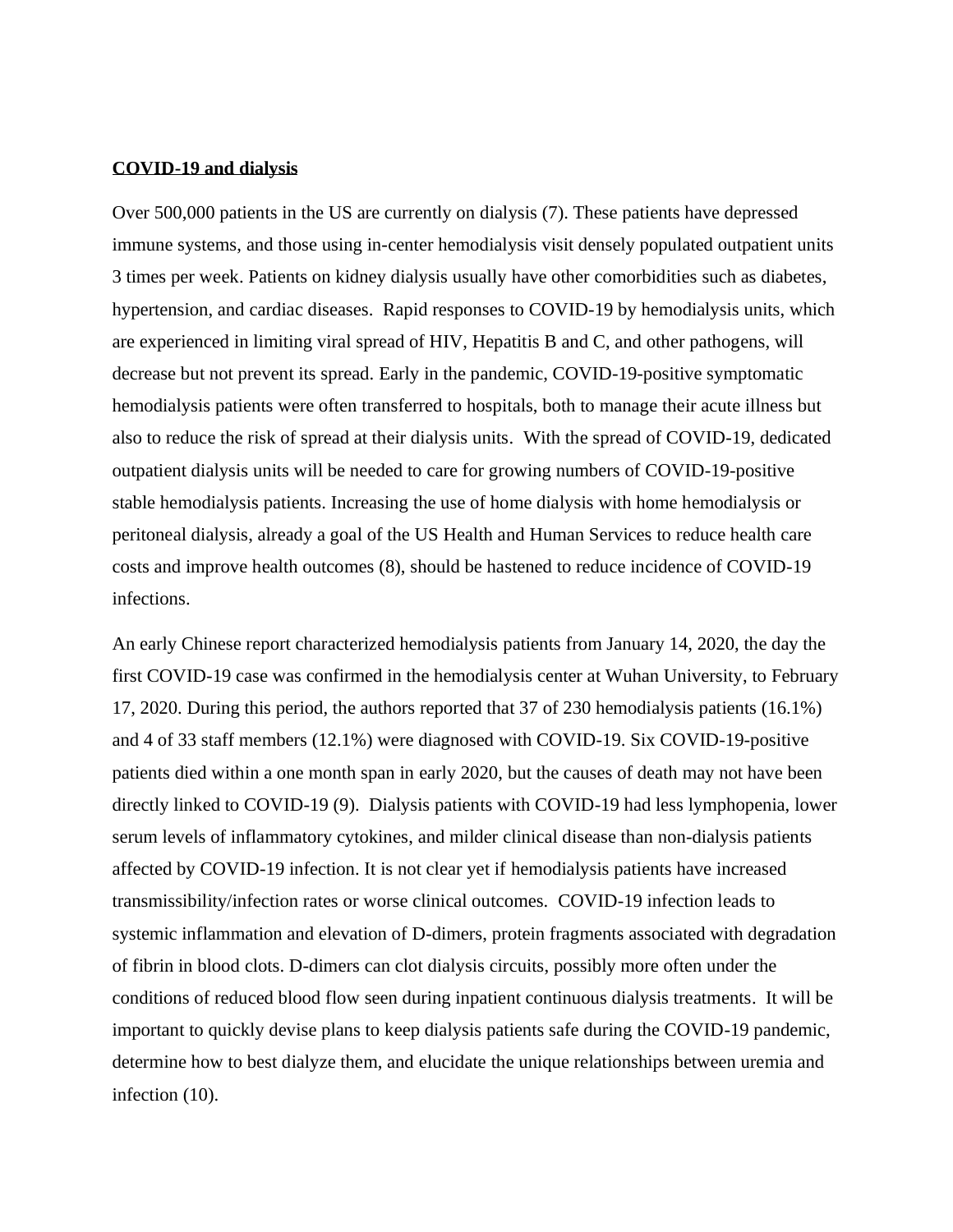#### **COVID-19 and dialysis**

Over 500,000 patients in the US are currently on dialysis (7). These patients have depressed immune systems, and those using in-center hemodialysis visit densely populated outpatient units 3 times per week. Patients on kidney dialysis usually have other comorbidities such as diabetes, hypertension, and cardiac diseases. Rapid responses to COVID-19 by hemodialysis units, which are experienced in limiting viral spread of HIV, Hepatitis B and C, and other pathogens, will decrease but not prevent its spread. Early in the pandemic, COVID-19-positive symptomatic hemodialysis patients were often transferred to hospitals, both to manage their acute illness but also to reduce the risk of spread at their dialysis units. With the spread of COVID-19, dedicated outpatient dialysis units will be needed to care for growing numbers of COVID-19-positive stable hemodialysis patients. Increasing the use of home dialysis with home hemodialysis or peritoneal dialysis, already a goal of the US Health and Human Services to reduce health care costs and improve health outcomes (8), should be hastened to reduce incidence of COVID-19 infections.

An early Chinese report characterized hemodialysis patients from January 14, 2020, the day the first COVID-19 case was confirmed in the hemodialysis center at Wuhan University, to February 17, 2020. During this period, the authors reported that 37 of 230 hemodialysis patients (16.1%) and 4 of 33 staff members (12.1%) were diagnosed with COVID-19. Six COVID-19-positive patients died within a one month span in early 2020, but the causes of death may not have been directly linked to COVID-19 (9). Dialysis patients with COVID-19 had less lymphopenia, lower serum levels of inflammatory cytokines, and milder clinical disease than non-dialysis patients affected by COVID-19 infection. It is not clear yet if hemodialysis patients have increased transmissibility/infection rates or worse clinical outcomes. COVID-19 infection leads to systemic inflammation and elevation of D-dimers, protein fragments associated with degradation of fibrin in blood clots. D-dimers can clot dialysis circuits, possibly more often under the conditions of reduced blood flow seen during inpatient continuous dialysis treatments. It will be important to quickly devise plans to keep dialysis patients safe during the COVID-19 pandemic, determine how to best dialyze them, and elucidate the unique relationships between uremia and infection (10).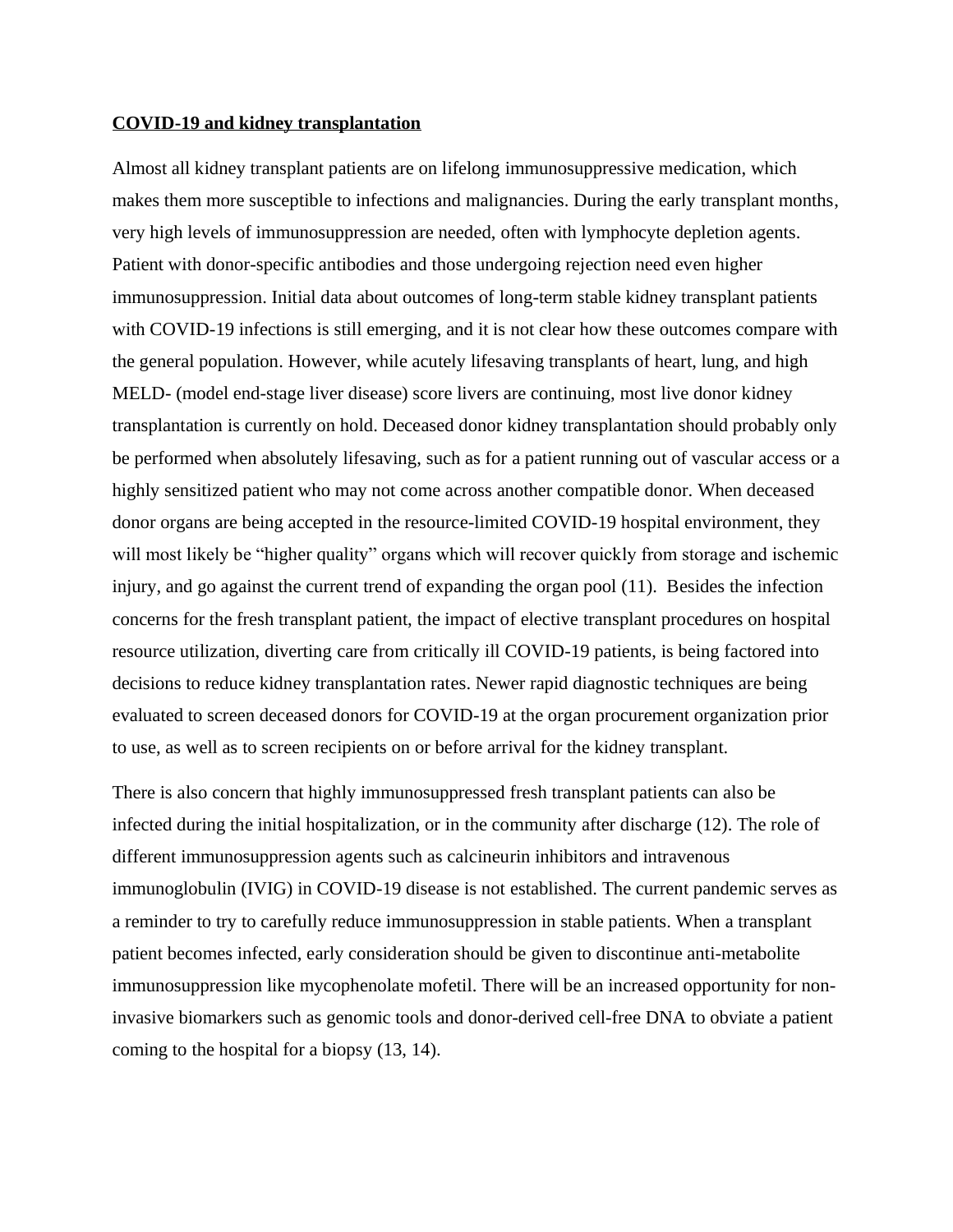#### **COVID-19 and kidney transplantation**

Almost all kidney transplant patients are on lifelong immunosuppressive medication, which makes them more susceptible to infections and malignancies. During the early transplant months, very high levels of immunosuppression are needed, often with lymphocyte depletion agents. Patient with donor-specific antibodies and those undergoing rejection need even higher immunosuppression. Initial data about outcomes of long-term stable kidney transplant patients with COVID-19 infections is still emerging, and it is not clear how these outcomes compare with the general population. However, while acutely lifesaving transplants of heart, lung, and high MELD- (model end-stage liver disease) score livers are continuing, most live donor kidney transplantation is currently on hold. Deceased donor kidney transplantation should probably only be performed when absolutely lifesaving, such as for a patient running out of vascular access or a highly sensitized patient who may not come across another compatible donor. When deceased donor organs are being accepted in the resource-limited COVID-19 hospital environment, they will most likely be "higher quality" organs which will recover quickly from storage and ischemic injury, and go against the current trend of expanding the organ pool (11). Besides the infection concerns for the fresh transplant patient, the impact of elective transplant procedures on hospital resource utilization, diverting care from critically ill COVID-19 patients, is being factored into decisions to reduce kidney transplantation rates. Newer rapid diagnostic techniques are being evaluated to screen deceased donors for COVID-19 at the organ procurement organization prior to use, as well as to screen recipients on or before arrival for the kidney transplant.

There is also concern that highly immunosuppressed fresh transplant patients can also be infected during the initial hospitalization, or in the community after discharge (12). The role of different immunosuppression agents such as calcineurin inhibitors and intravenous immunoglobulin (IVIG) in COVID-19 disease is not established. The current pandemic serves as a reminder to try to carefully reduce immunosuppression in stable patients. When a transplant patient becomes infected, early consideration should be given to discontinue anti-metabolite immunosuppression like mycophenolate mofetil. There will be an increased opportunity for noninvasive biomarkers such as genomic tools and donor-derived cell-free DNA to obviate a patient coming to the hospital for a biopsy (13, 14).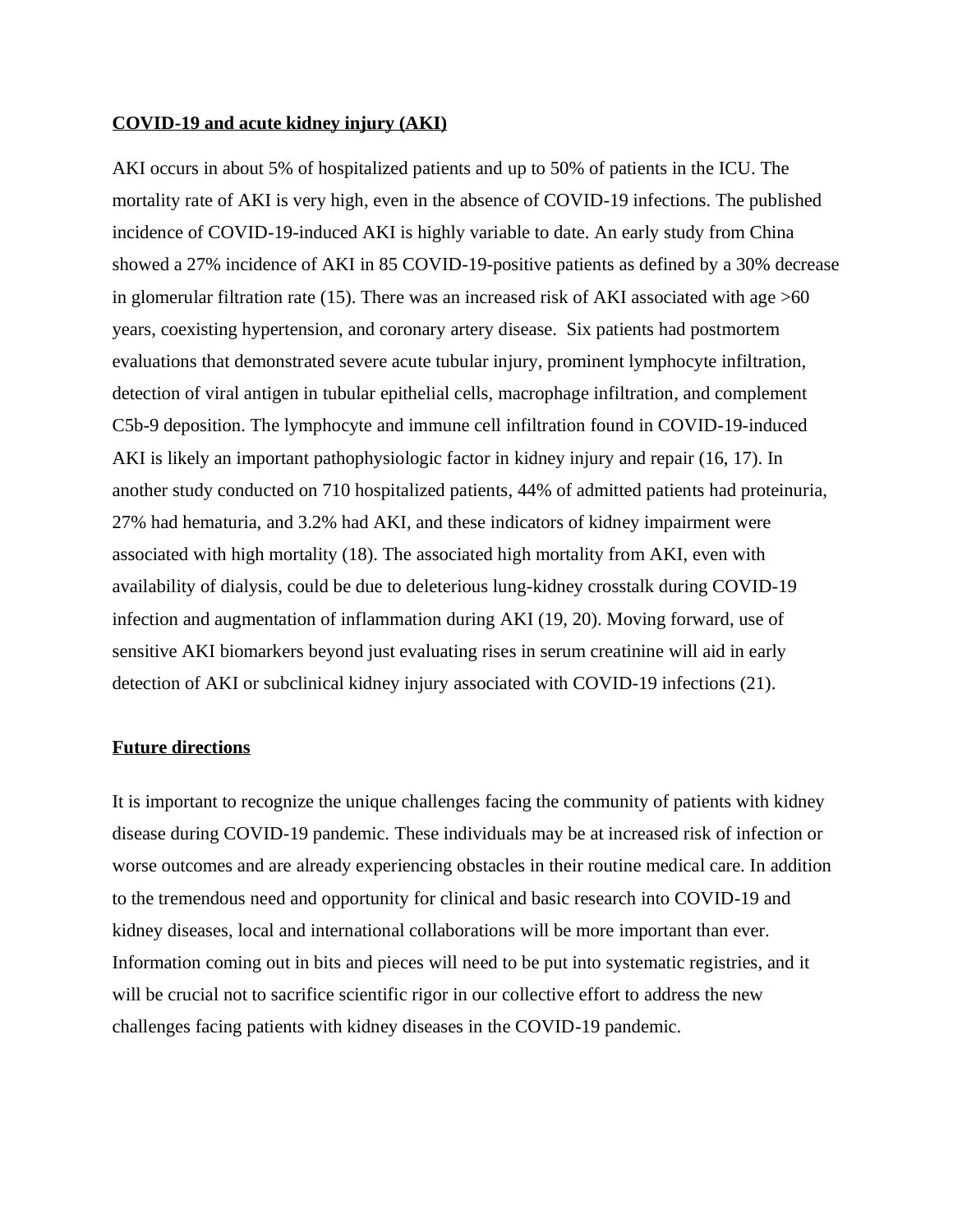#### **COVID-19 and acute kidney injury (AKI)**

AKI occurs in about 5% of hospitalized patients and up to 50% of patients in the ICU. The mortality rate of AKI is very high, even in the absence of COVID-19 infections. The published incidence of COVID-19-induced AKI is highly variable to date. An early study from China showed a 27% incidence of AKI in 85 COVID-19-positive patients as defined by a 30% decrease in glomerular filtration rate (15). There was an increased risk of AKI associated with age  $>60$ years, coexisting hypertension, and coronary artery disease. Six patients had postmortem evaluations that demonstrated severe acute tubular injury, prominent lymphocyte infiltration, detection of viral antigen in tubular epithelial cells, macrophage infiltration, and complement C5b-9 deposition. The lymphocyte and immune cell infiltration found in COVID-19-induced AKI is likely an important pathophysiologic factor in kidney injury and repair (16, 17). In another study conducted on 710 hospitalized patients, 44% of admitted patients had proteinuria, 27% had hematuria, and 3.2% had AKI, and these indicators of kidney impairment were associated with high mortality (18). The associated high mortality from AKI, even with availability of dialysis, could be due to deleterious lung-kidney crosstalk during COVID-19 infection and augmentation of inflammation during AKI (19, 20). Moving forward, use of sensitive AKI biomarkers beyond just evaluating rises in serum creatinine will aid in early detection of AKI or subclinical kidney injury associated with COVID-19 infections (21).

#### **Future directions**

It is important to recognize the unique challenges facing the community of patients with kidney disease during COVID-19 pandemic. These individuals may be at increased risk of infection or worse outcomes and are already experiencing obstacles in their routine medical care. In addition to the tremendous need and opportunity for clinical and basic research into COVID-19 and kidney diseases, local and international collaborations will be more important than ever. Information coming out in bits and pieces will need to be put into systematic registries, and it will be crucial not to sacrifice scientific rigor in our collective effort to address the new challenges facing patients with kidney diseases in the COVID-19 pandemic.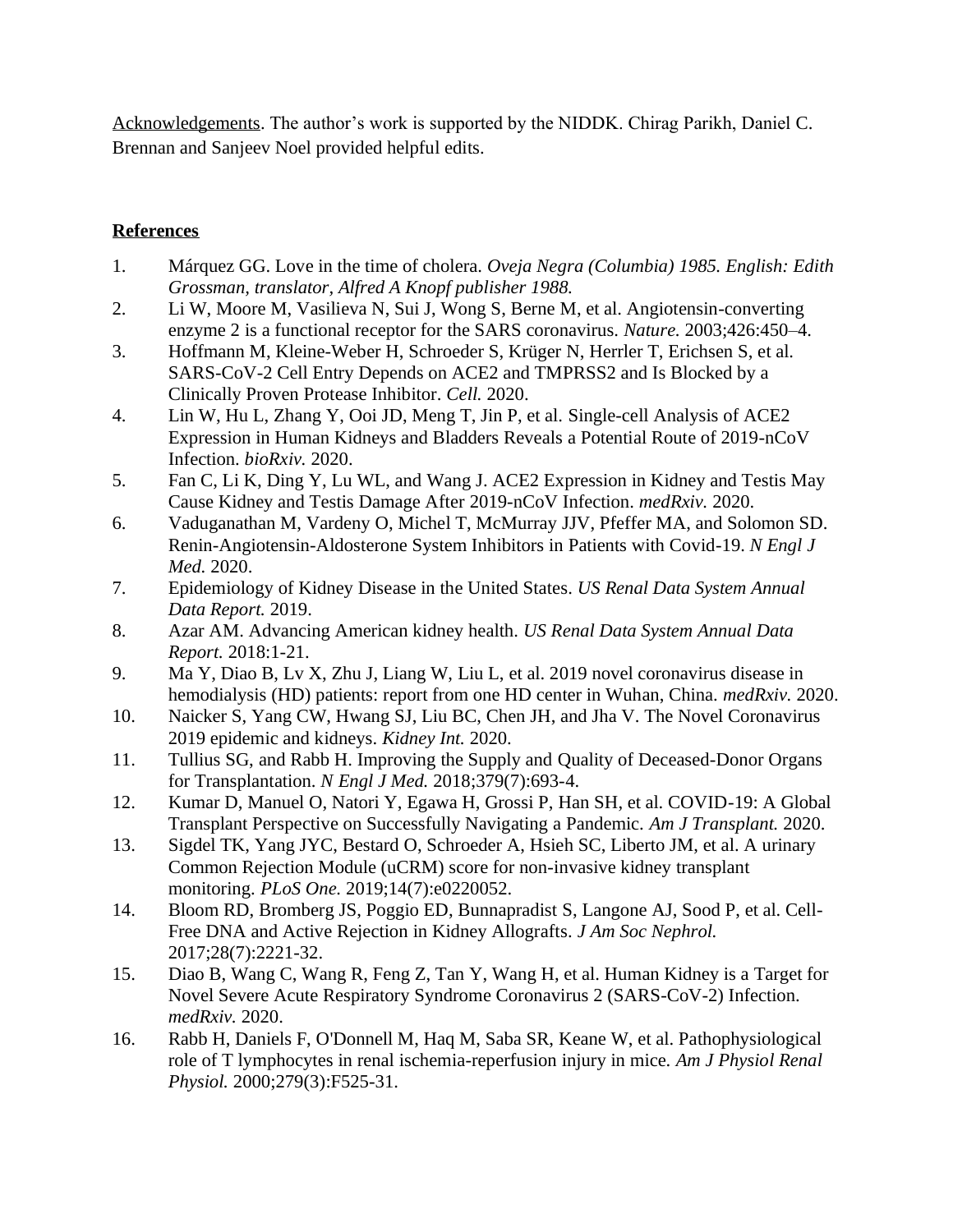Acknowledgements. The author's work is supported by the NIDDK. Chirag Parikh, Daniel C. Brennan and Sanjeev Noel provided helpful edits.

## **References**

- 1. Márquez GG. Love in the time of cholera. *Oveja Negra (Columbia) 1985. English: Edith Grossman, translator, Alfred A Knopf publisher 1988.*
- 2. Li W, Moore M, Vasilieva N, Sui J, Wong S, Berne M, et al. Angiotensin-converting enzyme 2 is a functional receptor for the SARS coronavirus. *Nature.* 2003;426:450–4.
- 3. Hoffmann M, Kleine-Weber H, Schroeder S, Krüger N, Herrler T, Erichsen S, et al. SARS-CoV-2 Cell Entry Depends on ACE2 and TMPRSS2 and Is Blocked by a Clinically Proven Protease Inhibitor. *Cell.* 2020.
- 4. Lin W, Hu L, Zhang Y, Ooi JD, Meng T, Jin P, et al. Single-cell Analysis of ACE2 Expression in Human Kidneys and Bladders Reveals a Potential Route of 2019-nCoV Infection. *bioRxiv.* 2020.
- 5. Fan C, Li K, Ding Y, Lu WL, and Wang J. ACE2 Expression in Kidney and Testis May Cause Kidney and Testis Damage After 2019-nCoV Infection. *medRxiv.* 2020.
- 6. Vaduganathan M, Vardeny O, Michel T, McMurray JJV, Pfeffer MA, and Solomon SD. Renin-Angiotensin-Aldosterone System Inhibitors in Patients with Covid-19. *N Engl J Med.* 2020.
- 7. Epidemiology of Kidney Disease in the United States. *US Renal Data System Annual Data Report.* 2019.
- 8. Azar AM. Advancing American kidney health. *US Renal Data System Annual Data Report.* 2018:1-21.
- 9. Ma Y, Diao B, Lv X, Zhu J, Liang W, Liu L, et al. 2019 novel coronavirus disease in hemodialysis (HD) patients: report from one HD center in Wuhan, China. *medRxiv.* 2020.
- 10. Naicker S, Yang CW, Hwang SJ, Liu BC, Chen JH, and Jha V. The Novel Coronavirus 2019 epidemic and kidneys. *Kidney Int.* 2020.
- 11. Tullius SG, and Rabb H. Improving the Supply and Quality of Deceased-Donor Organs for Transplantation. *N Engl J Med.* 2018;379(7):693-4.
- 12. Kumar D, Manuel O, Natori Y, Egawa H, Grossi P, Han SH, et al. COVID-19: A Global Transplant Perspective on Successfully Navigating a Pandemic. *Am J Transplant.* 2020.
- 13. Sigdel TK, Yang JYC, Bestard O, Schroeder A, Hsieh SC, Liberto JM, et al. A urinary Common Rejection Module (uCRM) score for non-invasive kidney transplant monitoring. *PLoS One.* 2019;14(7):e0220052.
- 14. Bloom RD, Bromberg JS, Poggio ED, Bunnapradist S, Langone AJ, Sood P, et al. Cell-Free DNA and Active Rejection in Kidney Allografts. *J Am Soc Nephrol.* 2017;28(7):2221-32.
- 15. Diao B, Wang C, Wang R, Feng Z, Tan Y, Wang H, et al. Human Kidney is a Target for Novel Severe Acute Respiratory Syndrome Coronavirus 2 (SARS-CoV-2) Infection. *medRxiv.* 2020.
- 16. Rabb H, Daniels F, O'Donnell M, Haq M, Saba SR, Keane W, et al. Pathophysiological role of T lymphocytes in renal ischemia-reperfusion injury in mice. *Am J Physiol Renal Physiol.* 2000;279(3):F525-31.